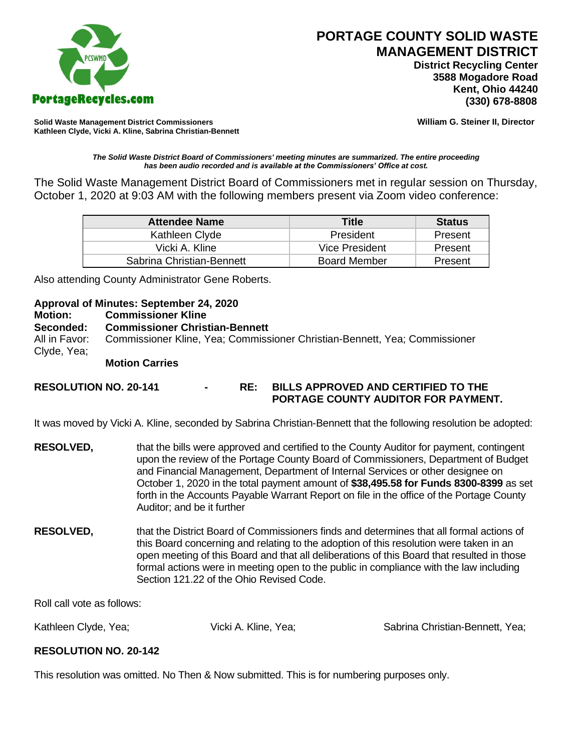

# **PORTAGE COUNTY SOLID WASTE MANAGEMENT DISTRICT**

 **District Recycling Center 3588 Mogadore Road Kent, Ohio 44240**

**Solid Waste Management District Commissioners William G. Steiner II, Director Kathleen Clyde, Vicki A. Kline, Sabrina Christian-Bennett** 

#### *The Solid Waste District Board of Commissioners' meeting minutes are summarized. The entire proceeding has been audio recorded and is available at the Commissioners' Office at cost.*

The Solid Waste Management District Board of Commissioners met in regular session on Thursday, October 1, 2020 at 9:03 AM with the following members present via Zoom video conference:

| <b>Attendee Name</b>      | Title               | <b>Status</b> |
|---------------------------|---------------------|---------------|
| Kathleen Clyde            | President           | Present       |
| Vicki A. Kline            | Vice President      | Present       |
| Sabrina Christian-Bennett | <b>Board Member</b> | Present       |

Also attending County Administrator Gene Roberts.

## **Approval of Minutes: September 24, 2020**

### **Motion: Commissioner Kline**

## **Seconded: Commissioner Christian-Bennett**

All in Favor: Commissioner Kline, Yea; Commissioner Christian-Bennett, Yea; Commissioner Clyde, Yea;

## **Motion Carries**

## **RESOLUTION NO. 20-141 - RE: BILLS APPROVED AND CERTIFIED TO THE PORTAGE COUNTY AUDITOR FOR PAYMENT.**

It was moved by Vicki A. Kline, seconded by Sabrina Christian-Bennett that the following resolution be adopted:

- **RESOLVED,** that the bills were approved and certified to the County Auditor for payment, contingent upon the review of the Portage County Board of Commissioners, Department of Budget and Financial Management, Department of Internal Services or other designee on October 1, 2020 in the total payment amount of **\$38,495.58 for Funds 8300-8399** as set forth in the Accounts Payable Warrant Report on file in the office of the Portage County Auditor; and be it further
- **RESOLVED,** that the District Board of Commissioners finds and determines that all formal actions of this Board concerning and relating to the adoption of this resolution were taken in an open meeting of this Board and that all deliberations of this Board that resulted in those formal actions were in meeting open to the public in compliance with the law including Section 121.22 of the Ohio Revised Code.

Roll call vote as follows:

Kathleen Clyde, Yea; The Clytess Vicki A. Kline, Yea; Sabrina Christian-Bennett, Yea;

## **RESOLUTION NO. 20-142**

This resolution was omitted. No Then & Now submitted. This is for numbering purposes only.